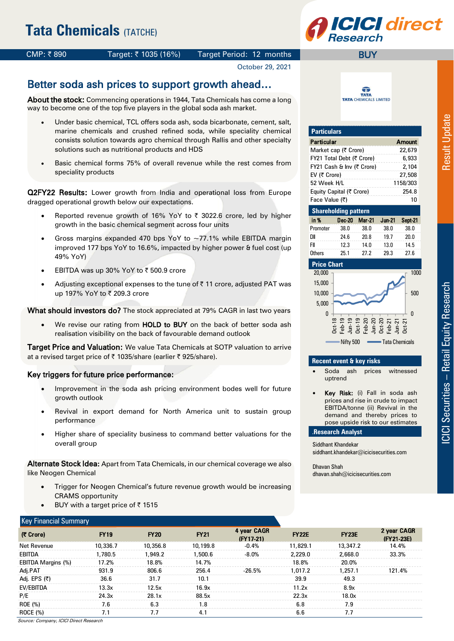

## CMP: ₹890 Target: ₹1035 (16%) Target Period: 12 months

# October 29, 2021

# Better soda ash prices to support growth ahead…

About the stock: Commencing operations in 1944, Tata Chemicals has come a long way to become one of the top five players in the global soda ash market.

- Under basic chemical, TCL offers soda ash, soda bicarbonate, cement, salt, marine chemicals and crushed refined soda, while speciality chemical consists solution towards agro chemical through Rallis and other specialty solutions such as nutritional products and HDS
- Basic chemical forms 75% of overall revenue while the rest comes from speciality products

Q2FY22 Results: Lower growth from India and operational loss from Europe dragged operational growth below our expectations.

- Reported revenue growth of 16% YoY to  $\bar{\tau}$  3022.6 crore, led by higher growth in the basic chemical segment across four units
- Gross margins expanded 470 bps YoY to  $\sim$  77.1% while EBITDA margin improved 177 bps YoY to 16.6%, impacted by higher power & fuel cost (up 49% YoY)
- EBITDA was up 30% YoY to  $\bar{\tau}$  500.9 crore
- Adjusting exceptional expenses to the tune of  $\bar{\tau}$  11 crore, adjusted PAT was up 197% YoY to ₹ 209.3 crore

What should investors do? The stock appreciated at 79% CAGR in last two years

We revise our rating from HOLD to BUY on the back of better soda ash realisation visibility on the back of favourable demand outlook

Target Price and Valuation: We value Tata Chemicals at SOTP valuation to arrive at a revised target price of ₹ 1035/share (earlier ₹ 925/share).

#### Key triggers for future price performance:

- Improvement in the soda ash pricing environment bodes well for future growth outlook
- Revival in export demand for North America unit to sustain group performance
- Higher share of speciality business to command better valuations for the overall group

Alternate Stock Idea: Apart from Tata Chemicals, in our chemical coverage we also like Neogen Chemical

- Trigger for Neogen Chemical's future revenue growth would be increasing CRAMS opportunity
- BUY with a target price of  $\bar{z}$  1515

命 **TATA TATA** CHEMICALS LIMITED

**BUY** 

| <b>Particulars</b>        |                             |               |               |               |  |  |  |  |  |  |  |
|---------------------------|-----------------------------|---------------|---------------|---------------|--|--|--|--|--|--|--|
| <b>Particular</b>         |                             |               |               | <b>Amount</b> |  |  |  |  |  |  |  |
| Market cap (₹ Crore)      |                             |               | 22,679        |               |  |  |  |  |  |  |  |
| FY21 Total Debt (そ Crore) |                             |               | 6,933         |               |  |  |  |  |  |  |  |
| FY21 Cash & Inv (そ Crore) |                             |               | 2,104         |               |  |  |  |  |  |  |  |
| EV (そ Crore)              |                             |               | 27,508        |               |  |  |  |  |  |  |  |
| 52 Week H/L               |                             | 1158/303      |               |               |  |  |  |  |  |  |  |
| Equity Capital (₹ Crore)  |                             |               |               | 254.8         |  |  |  |  |  |  |  |
| Face Value (そ)            |                             |               |               | 10            |  |  |  |  |  |  |  |
|                           | <b>Shareholding pattern</b> |               |               |               |  |  |  |  |  |  |  |
| in %                      | Dec-20                      | <b>Mar-21</b> | <b>Jun-21</b> | Sept-21       |  |  |  |  |  |  |  |
| Promoter                  | 38.0                        | 38.0          | 38.0          | 38.0          |  |  |  |  |  |  |  |
| DII                       | 24.6                        | 19.7          | 20.0          |               |  |  |  |  |  |  |  |
| FII                       | 12.3                        | 14.0          | 13.0          | 14.5          |  |  |  |  |  |  |  |
| <b>Others</b>             | 25.1                        | 27.2          | 29.3          | 27.6          |  |  |  |  |  |  |  |



#### **Recent event & key risks**

- Soda ash prices witnessed uptrend
- Key Risk: (i) Fall in soda ash prices and rise in crude to impact EBITDA/tonne (ii) Revival in the demand and thereby prices to pose upside risk to our estimates

#### .**Research Analyst**

Siddhant Khandekar siddhant.khandekar@icicisecurities.com

Dhavan Shah dhavan.shah@icicisecurities.com

| <b>Key Financial Summary</b> |             |             |                            |              |              |                           |
|------------------------------|-------------|-------------|----------------------------|--------------|--------------|---------------------------|
| <b>FY19</b>                  | <b>FY20</b> | <b>FY21</b> | 4 year CAGR<br>$(FY17-21)$ | <b>FY22E</b> | <b>FY23E</b> | 2 year CAGR<br>(FY21-23E) |
| 10,336.7                     | 10,356.8    | 10,199.8    | $-0.4%$                    | 11,829.1     | 13,347.2     | 14.4%                     |
| 1,780.5                      | 1.949.2     | 1,500.6     | $-8.0\%$                   | 2.229.0      | 2,668.0      | 33.3%                     |
| 17.2%                        | 18.8%       | 14.7%       |                            | 18.8%        | 20.0%        |                           |
| 931.9                        | 806.6       | 256.4       | $-26.5%$                   | 1.017.2      | 1.257.1      | 121.4%                    |
| 36.6                         | 31.7        | 10.1        |                            | 39.9         | 49.3         |                           |
| 13.3x                        | 12.5x       | 16.9x       |                            | 11.2x        | 8.9x         |                           |
| 24.3x                        | 28.1x       | 88.5x       |                            | 22.3x        | 18.0x        |                           |
| 7.6                          | 6.3         | 1.8         |                            | 6.8          | 7.9          |                           |
| 7.1                          | 7.7         | 4.1         |                            | 6.6          | 7.7          |                           |
|                              |             |             |                            |              |              |                           |

Source: Company, ICICI Direct Research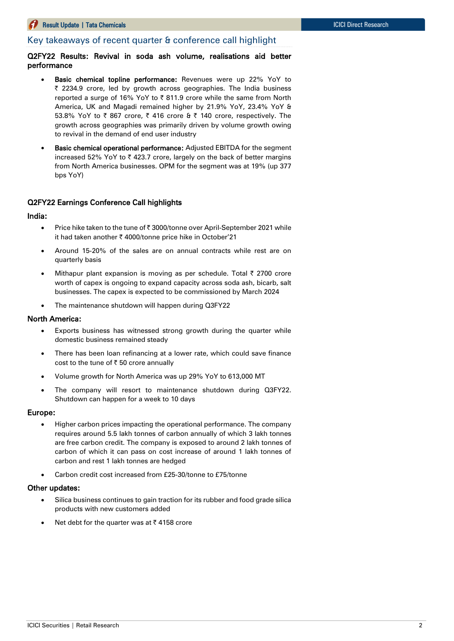# Key takeaways of recent quarter & conference call highlight

### Q2FY22 Results: Revival in soda ash volume, realisations aid better performance

- Basic chemical topline performance: Revenues were up 22% YoY to ₹ 2234.9 crore, led by growth across geographies. The India business reported a surge of 16% YoY to  $\bar{\tau}$  811.9 crore while the same from North America, UK and Magadi remained higher by 21.9% YoY, 23.4% YoY & 53.8% YoY to  $\bar{\tau}$  867 crore,  $\bar{\tau}$  416 crore &  $\bar{\tau}$  140 crore, respectively. The growth across geographies was primarily driven by volume growth owing to revival in the demand of end user industry
- Basic chemical operational performance: Adjusted EBITDA for the segment increased 52% YoY to  $\bar{\tau}$  423.7 crore, largely on the back of better margins from North America businesses. OPM for the segment was at 19% (up 377 bps YoY)

## Q2FY22 Earnings Conference Call highlights

#### India:

- Price hike taken to the tune of ₹ 3000/tonne over April-September 2021 while it had taken another ₹ 4000/tonne price hike in October'21
- Around 15-20% of the sales are on annual contracts while rest are on quarterly basis
- Mithapur plant expansion is moving as per schedule. Total  $\bar{\tau}$  2700 crore worth of capex is ongoing to expand capacity across soda ash, bicarb, salt businesses. The capex is expected to be commissioned by March 2024
- The maintenance shutdown will happen during Q3FY22

#### North America:

- Exports business has witnessed strong growth during the quarter while domestic business remained steady
- There has been loan refinancing at a lower rate, which could save finance cost to the tune of  $\bar{z}$  50 crore annually
- Volume growth for North America was up 29% YoY to 613,000 MT
- The company will resort to maintenance shutdown during Q3FY22. Shutdown can happen for a week to 10 days

#### Europe:

- Higher carbon prices impacting the operational performance. The company requires around 5.5 lakh tonnes of carbon annually of which 3 lakh tonnes are free carbon credit. The company is exposed to around 2 lakh tonnes of carbon of which it can pass on cost increase of around 1 lakh tonnes of carbon and rest 1 lakh tonnes are hedged
- Carbon credit cost increased from £25-30/tonne to £75/tonne

# Other updates:

- Silica business continues to gain traction for its rubber and food grade silica products with new customers added
- Net debt for the quarter was at  $\bar{\tau}$  4158 crore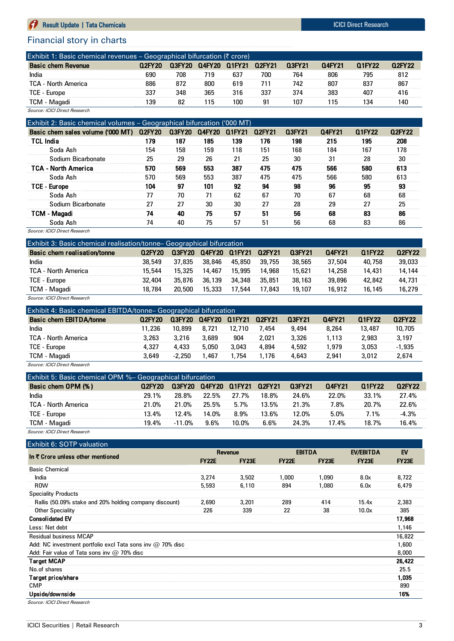# **Community** Result Update | Tata Chemicals ICICI Direct Research

# Financial story in charts

| Exhibit 1: Basic chemical revenues $\overline{-}$ Geographical bifurcation ( $\overline{z}$ crore) |        |        |        |        |        |        |        |        |        |
|----------------------------------------------------------------------------------------------------|--------|--------|--------|--------|--------|--------|--------|--------|--------|
| <b>Basic chem Revenue</b>                                                                          | 02FY20 | 03FY20 | 04FY20 | 01FY21 | 02FY21 | 03FY21 | 04FY21 | 01FY22 | 02FY22 |
| India                                                                                              | 690    | 708    | 719    | 637    | 700    | 764    | 806    | 795    | 812    |
| TCA - North America                                                                                | 886    | 872    | 800    | 619    | 711    | 742    | 807    | 837    | 867    |
| TCE - Europe                                                                                       | 337    | 348    | 365    | 316    | 337    | 374    | 383    | 407    | 416    |
| TCM - Magadi                                                                                       | 139    | 82     | 115    | 100    | 91     | 107    | 115    | 134    | 140    |
| Source: ICICI Direct Research                                                                      |        |        |        |        |        |        |        |        |        |

|                                   | Exhibit 2: Basic chemical volumes – Geographical bifurcation ('000 MT) |               |        |        |        |        |        |        |        |  |  |
|-----------------------------------|------------------------------------------------------------------------|---------------|--------|--------|--------|--------|--------|--------|--------|--|--|
| Basic chem sales volume ('000 MT) | Q2FY20                                                                 | <b>Q3FY20</b> | Q4FY20 | Q1FY21 | Q2FY21 | Q3FY21 | 04FY21 | 01FY22 | 02FY22 |  |  |
| <b>TCL India</b>                  | 179                                                                    | 187           | 185    | 139    | 176    | 198    | 215    | 195    | 208    |  |  |
| Soda Ash                          | 154                                                                    | 158           | 159    | 118    | 151    | 168    | 184    | 167    | 178    |  |  |
| Sodium Bicarbonate                | 25                                                                     | 29            | 26     | 21     | 25     | 30     | 31     | 28     | 30     |  |  |
| <b>TCA - North America</b>        | 570                                                                    | 569           | 553    | 387    | 475    | 475    | 566    | 580    | 613    |  |  |
| Soda Ash                          | 570                                                                    | 569           | 553    | 387    | 475    | 475    | 566    | 580    | 613    |  |  |
| <b>TCE - Europe</b>               | 104                                                                    | 97            | 101    | 92     | 94     | 98     | 96     | 95     | 93     |  |  |
| Soda Ash                          | 77                                                                     | 70            | 71     | 62     | 67     | 70     | 67     | 68     | 68     |  |  |
| Sodium Bicarbonate                | 27                                                                     | 27            | 30     | 30     | 27     | 28     | 29     | 27     | 25     |  |  |
| <b>TCM - Magadi</b>               | 74                                                                     | 40            | 75     | 57     | 51     | 56     | 68     | 83     | 86     |  |  |
| Soda Ash                          | 74                                                                     | 40            | 75     | 57     | 51     | 56     | 68     | 83     | 86     |  |  |

Source: ICICI Direct Research

| Exhibit 3: Basic chemical realisation/tonne-Geographical bifurcation |        |               |               |        |        |        |        |        |               |
|----------------------------------------------------------------------|--------|---------------|---------------|--------|--------|--------|--------|--------|---------------|
| Basic chem realisation/tonne                                         | Q2FY20 | <b>Q3FY20</b> | <b>Q4FY20</b> | Q1FY21 | Q2FY21 | Q3FY21 | 04FY21 | 01FY22 | <b>Q2FY22</b> |
| India                                                                | 38.549 | 37,835        | 38,846        | 45.850 | 39,755 | 38,565 | 37,504 | 40,758 | 39,033        |
| <b>TCA - North America</b>                                           | 15,544 | 15,325        | 14.467        | 15.995 | 14.968 | 15,621 | 14,258 | 14,431 | 14,144        |
| TCE - Europe                                                         | 32.404 | 35.876        | 36.139        | 34.348 | 35.851 | 38,163 | 39,896 | 42,842 | 44,731        |
| TCM - Magadi                                                         | 18.784 | 20,500        | 15,333        | 17.544 | 17.843 | 19,107 | 16,912 | 16.145 | 16,279        |
| $\sim$<br>$\sim$ $\sim$                                              |        |               |               |        |        |        |        |        |               |

| Source: ICICI Direct Research |  |  |
|-------------------------------|--|--|
|                               |  |  |

| Exhibit 4: Basic chemical EBITDA/tonne– Geographical bifurcation |        |          |               |        |        |        |        |        |          |
|------------------------------------------------------------------|--------|----------|---------------|--------|--------|--------|--------|--------|----------|
| <b>Basic chem EBITDA/tonne</b>                                   | Q2FY20 | Q3FY20   | <b>Q4FY20</b> | Q1FY21 | Q2FY21 | Q3FY21 | 04FY21 | 01FY22 | 02FY22   |
| India                                                            | 11.236 | 10.899   | 8.721         | 12.710 | 7.454  | 9,494  | 8.264  | 13,487 | 10,705   |
| <b>TCA - North America</b>                                       | 3.263  | 3.216    | 3.689         | 904    | 2.021  | 3.326  | 1.113  | 2.983  | 3.197    |
| TCE - Europe                                                     | 4.327  | 4.433    | 5.050         | 3.043  | 4.894  | 4,592  | 1.979  | 3.053  | $-1.935$ |
| TCM - Magadi                                                     | 3,649  | $-2.250$ | .467          | 1.754  | 1.176  | 4.643  | 2.941  | 3.012  | 2.674    |
| $\cdots$<br>$\sim$ $\sim$                                        |        |          |               |        |        |        |        |        |          |

Source: ICICI Direct Research

| Exhibit 5: Basic chemical OPM %- Geographical bifurcation |        |           |        |        |        |         |        |        |         |
|-----------------------------------------------------------|--------|-----------|--------|--------|--------|---------|--------|--------|---------|
| Basic chem OPM (%)                                        | Q2FY20 | 0.3FY20   | 04FY20 | Q1FY21 | Q2FY21 | 0.3FY21 | 04FY21 | 01FY22 | 02FY22  |
| India                                                     | 29.1%  | 28.8%     | 22.5%  | 27.7%  | 18.8%  | 24.6%   | 22.0%  | 33.1%  | 27.4%   |
| TCA - North America                                       | 21.0%  | 21.0%     | 25.5%  | 5.7%   | 13.5%  | 21.3%   | 7.8%   | 20.7%  | 22.6%   |
| TCE - Europe                                              | 13.4%  | 12.4%     | 14.0%  | 8.9%   | 13.6%  | 12.0%   | 5.0%   | 7.1%   | $-4.3%$ |
| TCM - Magadi                                              | 19.4%  | $-11.0\%$ | 9.6%   | 10.0%  | 6.6%   | 24.3%   | 17.4%  | 18.7%  | 16.4%   |
| Source: ICICI Direct Research                             |        |           |        |        |        |         |        |        |         |

#### Exhibit  $6:$  SOTP value

|                                                                   |              | Revenue      |              | <b>EBITDA</b> | EV/EBITDA    | EV           |
|-------------------------------------------------------------------|--------------|--------------|--------------|---------------|--------------|--------------|
| In ₹ Crore unless other mentioned                                 | <b>FY22E</b> | <b>FY23E</b> | <b>FY22E</b> | <b>FY23E</b>  | <b>FY23E</b> | <b>FY23E</b> |
| <b>Basic Chemical</b>                                             |              |              |              |               |              |              |
| India                                                             | 3,274        | 3,502        | 1,000        | 1,090         | 8.0x         | 8,722        |
| <b>ROW</b>                                                        | 5,593        | 6,110        | 894          | 1,080         | 6.0x         | 6,479        |
| <b>Speciality Products</b>                                        |              |              |              |               |              |              |
| Rallis (50.09% stake and 20% holding company discount)            | 2,690        | 3,201        | 289          | 414           | 15.4x        | 2,383        |
| <b>Other Speciality</b>                                           | 226          | 339          | 22           | 38            | 10.0x        | 385          |
| <b>Consolidated EV</b>                                            |              |              |              |               |              | 17,968       |
| Less: Net debt                                                    |              |              |              |               |              | 1,146        |
| <b>Residual business MCAP</b>                                     |              |              |              |               |              | 16,822       |
| Add: NC investment portfolio excl Tata sons inv $\omega$ 70% disc |              |              |              |               |              | 1,600        |
| Add: Fair value of Tata sons inv $@$ 70% disc                     |              |              |              |               |              | 8,000        |
| <b>Target MCAP</b>                                                |              |              |              |               |              | 26,422       |
| No.of shares                                                      |              |              |              |               |              | 25.5         |
| Target price/share                                                |              |              |              |               |              | 1,035        |
| <b>CMP</b>                                                        |              |              |              |               |              | 890          |
| Upside/downside                                                   |              |              |              |               |              | 16%          |
| Source: ICICI Direct Research                                     |              |              |              |               |              |              |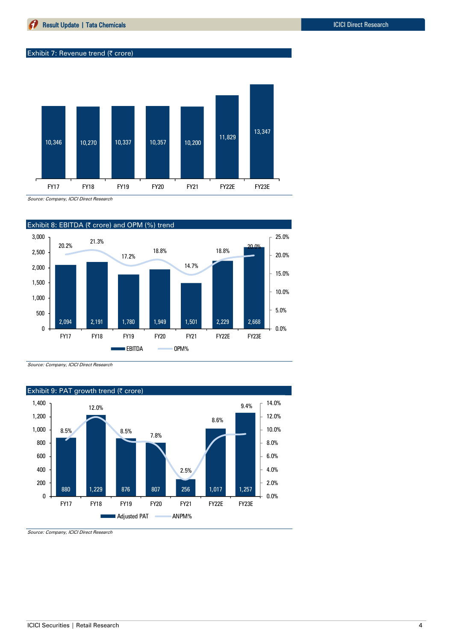#### Exhibit 7: Revenue trend (₹ crore)



Source: Company, ICICI Direct Research



Source: Company, ICICI Direct Research



Source: Company, ICICI Direct Research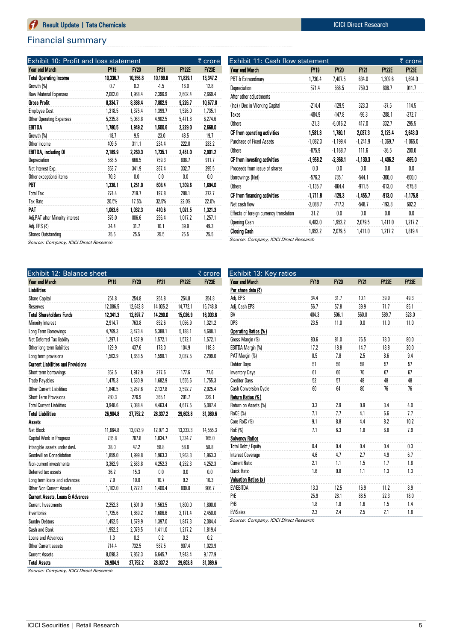# Financial summary

| <b>Exhibit 10: Profit and loss statement</b> |             |             |             |              | ₹ crore      |
|----------------------------------------------|-------------|-------------|-------------|--------------|--------------|
| Year end March                               | <b>FY19</b> | <b>FY20</b> | <b>FY21</b> | <b>FY22E</b> | <b>FY23E</b> |
| <b>Total Operating Income</b>                | 10,336.7    | 10.356.8    | 10,199.8    | 11,829.1     | 13,347.2     |
| Growth (%)                                   | 0.7         | 0.2         | $-1.5$      | 16.0         | 12.8         |
| <b>Raw Material Expenses</b>                 | 2,002.0     | 1,968.4     | 2.396.9     | 2,602.4      | 2,669.4      |
| <b>Gross Profit</b>                          | 8.334.7     | 8,388.4     | 7,802.9     | 9,226.7      | 10,677.8     |
| <b>Employee Cost</b>                         | 1,318.5     | 1,375.4     | 1,399.7     | 1,526.0      | 1,735.1      |
| <b>Other Operating Expenses</b>              | 5,235.8     | 5,063.8     | 4,902.5     | 5,471.8      | 6,274.6      |
| EBITDA                                       | 1,780.5     | 1.949.2     | 1,500.6     | 2,229.0      | 2,668.0      |
| Growth (%)                                   | $-18.7$     | 9.5         | $-23.0$     | 48.5         | 19.7         |
| Other Income                                 | 409.5       | 311.1       | 234.4       | 222.0        | 233.2        |
| EBITDA, including OI                         | 2,189.9     | 2.260.3     | 1,735.1     | 2.451.0      | 2,901.2      |
| Depreciation                                 | 568.5       | 666.5       | 759.3       | 808.7        | 911.7        |
| Net Interest Exp.                            | 353.7       | 341.9       | 367.4       | 332.7        | 295.5        |
| Other exceptional items                      | 70.3        | 0.0         | 0.0         | 0.0          | 0.0          |
| PBT                                          | 1,338.1     | 1.251.9     | 608.4       | 1.309.6      | 1,694.0      |
| <b>Total Tax</b>                             | 274.4       | 219.7       | 197.8       | 288.1        | 372.7        |
| <b>Tax Rate</b>                              | 20.5%       | 17.5%       | 32.5%       | 22.0%        | 22.0%        |
| PAT                                          | 1,063.6     | 1.032.3     | 410.6       | 1,021.5      | 1,321.3      |
| Adj.PAT after Minority interest              | 876.0       | 806.6       | 256.4       | 1,017.2      | 1,257.1      |
| Adj. EPS (₹)                                 | 34.4        | 31.7        | 10.1        | 39.9         | 49.3         |
| <b>Shares Outstanding</b>                    | 25.5        | 25.5        | 25.5        | 25.5         | 25.5         |

Source: Company, ICICI Direct Research

| Exhibit 12: Balance sheet                 |             |             |             |              | ₹ crore      |
|-------------------------------------------|-------------|-------------|-------------|--------------|--------------|
| Year end March                            | <b>FY19</b> | <b>FY20</b> | <b>FY21</b> | <b>FY22E</b> | <b>FY23E</b> |
| Liabilities                               |             |             |             |              |              |
| Share Capital                             | 254.8       | 254.8       | 254.8       | 254.8        | 254.8        |
| Reserves                                  | 12,086.5    | 12,642.8    | 14,035.2    | 14,772.1     | 15,748.8     |
| <b>Total Shareholders Funds</b>           | 12,341.3    | 12,897.7    | 14,290.0    | 15,026.9     | 16,003.6     |
| Minority Interest                         | 2,914.7     | 763.8       | 852.6       | 1,056.9      | 1,321.2      |
| Long Term Borrowings                      | 4,769.3     | 3,473.4     | 5,388.1     | 5,188.1      | 4,688.1      |
| Net Deferred Tax liability                | 1,297.1     | 1,437.9     | 1,572.1     | 1,572.1      | 1,572.1      |
| Other long term liabilities               | 129.9       | 437.6       | 173.0       | 104.9        | 118.3        |
| Long term provisions                      | 1,503.9     | 1,653.5     | 1,598.1     | 2,037.5      | 2,299.0      |
| <b>Current Liabilities and Provisions</b> |             |             |             |              |              |
| Short term borrowings                     | 352.5       | 1,912.9     | 277.6       | 177.6        | 77.6         |
| <b>Trade Payables</b>                     | 1,475.3     | 1,630.9     | 1,682.9     | 1,555.6      | 1,755.3      |
| <b>Other Current Liabilities</b>          | 1,840.5     | 3,267.6     | 2,137.8     | 2,592.7      | 2,925.4      |
| <b>Short Term Provisions</b>              | 280.3       | 276.9       | 365.1       | 291.7        | 329.1        |
| <b>Total Current Liabilities</b>          | 3,948.6     | 7,088.4     | 4,463.4     | 4,617.5      | 5,087.4      |
| <b>Total Liabilities</b>                  | 26,904.8    | 27,752.2    | 28,337.2    | 29,603.8     | 31,089.6     |
| <b>Assets</b>                             |             |             |             |              |              |
| Net Block                                 | 11,664.8    | 13,073.9    | 12,971.3    | 13,232.3     | 14,555.3     |
| Capital Work in Progress                  | 735.8       | 787.8       | 1,034.7     | 1,334.7      | 165.0        |
| Intangible assets under devl.             | 38.0        | 47.2        | 58.8        | 58.8         | 58.8         |
| <b>Goodwill on Consolidation</b>          | 1,859.0     | 1,999.8     | 1,963.3     | 1,963.3      | 1,963.3      |
| Non-current investments                   | 3,362.9     | 2,683.8     | 4,252.3     | 4,252.3      | 4,252.3      |
| Deferred tax assets                       | 36.2        | 15.3        | 0.0         | 0.0          | 0.0          |
| Long term loans and advances              | 7.9         | 10.0        | 10.7        | 9.2          | 10.3         |
| Other Non Current Assets                  | 1,102.0     | 1,272.1     | 1,400.4     | 809.8        | 906.7        |
| Current Assets, Loans & Advances          |             |             |             |              |              |
| <b>Current Investments</b>                | 2,252.3     | 1,601.0     | 1,563.5     | 1,800.0      | 1,800.0      |
| Inventories                               | 1,725.6     | 1,869.2     | 1,686.6     | 2,171.4      | 2,450.0      |
| <b>Sundry Debtors</b>                     | 1,452.5     | 1,579.9     | 1,397.0     | 1,847.3      | 2,084.4      |
| Cash and Bank                             | 1,952.2     | 2,079.5     | 1,411.0     | 1,217.2      | 1,819.4      |
| Loans and Advances                        | 1.3         | 0.2         | 0.2         | 0.2          | 0.2          |
| <b>Other Current assets</b>               | 714.4       | 732.5       | 587.5       | 907.4        | 1,023.9      |
| <b>Current Assets</b>                     | 8,098.3     | 7,862.3     | 6,645.7     | 7,943.4      | 9,177.9      |
| <b>Total Assets</b>                       | 26,904.9    | 27,752.2    | 28,337.2    | 29,603.8     | 31,089.6     |

Year end March FY19 FY20 FY21 FY22E FY23E PBT & Extraordinary 1,730.4 7,407.5 634.0 1,309.6 1,694.0 Depreciation 571.4 666.5 759.3 808.7 911.7 After other adjustments (Inc) / Dec in Working Capital -214.4 -129.9 323.3 -37.5 114.5 Taxes -484.9 -147.8 -96.3 -288.1 -372.7 Others -21.3 -6,016.2 417.0 332.7 295.5 CF from operating activities 1,581.3 1,780.1 2,037.3 2,125.4 2,643.0 Purchase of Fixed Assets -1,082.3 -1,199.4 -1,241.9 -1,369.7 -1,065.0 Others -875.9 -1,168.7 111.6 -36.5 200.0 CF from investing activities -1,958.2 -2,368.1 -1,130.3 -1,406.2 -865.0 Proceeds from issue of shares 0.0 0.0 0.0 0.0 0.0 0.0 Borrowings (Net) -576.2 735.1 -544.1 -300.0 -600.0 Others -1,135.7 -864.4 -911.5 -613.0 -575.8 CF from financing activities -1,711.8 -129.3 -1,455.7 -913.0 -1,175.8 Net cash flow -2,088.7 -717.3 -548.7 -193.8 602.2 Effects of foreign currency translation  $31.2$  0.0 0.0 0.0 0.0 0.0 Opening Cash 4,483.0 1,952.2 2,079.5 1,411.0 1,217.2 Closing Cash 1,952.2 2,079.5 1,411.0 1,217.2 1,819.4

Exhibit 11: Cash flow statement  $\bar{\tau}$  crore

Source: Company, ICICI Direct Research

| Exhibit 13: Key ratios       |             |       |             |              |              |
|------------------------------|-------------|-------|-------------|--------------|--------------|
| Year end March               | <b>FY19</b> | FY20  | <b>FY21</b> | <b>FY22E</b> | <b>FY23E</b> |
| Per share data (₹)           |             |       |             |              |              |
| Adj. EPS                     | 34.4        | 31.7  | 10.1        | 39.9         | 49.3         |
| Adj. Cash EPS                | 56.7        | 57.8  | 39.9        | 71.7         | 85.1         |
| BV                           | 484.3       | 506.1 | 560.8       | 589.7        | 628.0        |
| <b>DPS</b>                   | 23.5        | 11.0  | 0.0         | 11.0         | 11.0         |
| Operating Ratios (%)         |             |       |             |              |              |
| Gross Margin (%)             | 80.6        | 81.0  | 76.5        | 78.0         | 80.0         |
| EBITDA Margin (%)            | 17.2        | 18.8  | 14.7        | 18.8         | 20.0         |
| PAT Margin (%)               | 8.5         | 7.8   | 2.5         | 8.6          | 9.4          |
| Debtor Days                  | 51          | 56    | 58          | 57           | 57           |
| <b>Inventory Days</b>        | 61          | 66    | 70          | 67           | 67           |
| <b>Creditor Days</b>         | 52          | 57    | 48          | 48           | 48           |
| <b>Cash Conversion Cycle</b> | 60          | 64    | 80          | 76           | 76           |
| Return Ratios (%)            |             |       |             |              |              |
| Return on Assets (%)         | 3.3         | 2.9   | 0.9         | 3.4          | 4.0          |
| <b>RoCE (%)</b>              | 7.1         | 7.7   | 4.1         | 6.6          | 7.7          |
| Core RoIC (%)                | 9.1         | 8.8   | 4.4         | 8.2          | 10.2         |
| RoE (%)                      | 7.1         | 6.3   | 1.8         | 6.8          | 7.9          |
| <b>Solvency Ratios</b>       |             |       |             |              |              |
| Total Debt / Equity          | 0.4         | 0.4   | 0.4         | 0.4          | 0.3          |
| <b>Interest Coverage</b>     | 4.6         | 4.7   | 2.7         | 4.9          | 6.7          |
| <b>Current Ratio</b>         | 2.1         | 1.1   | 1.5         | 1.7          | 1.8          |
| <b>Quick Ratio</b>           | 1.6         | 0.8   | 1.1         | 1.3          | 1.3          |
| Valuation Ratios (x)         |             |       |             |              |              |
| EV/EBITDA                    | 13.3        | 12.5  | 16.9        | 11.2         | 8.9          |
| P/E                          | 25.9        | 28.1  | 88.5        | 22.3         | 18.0         |
| P/B                          | 1.8         | 1.8   | 1.6         | 1.5          | 1.4          |
| <b>EV/Sales</b>              | 2.3         | 2.4   | 2.5         | 2.1          | 1.8          |

Source: Company, ICICI Direct Research

Source: Company, ICICI Direct Research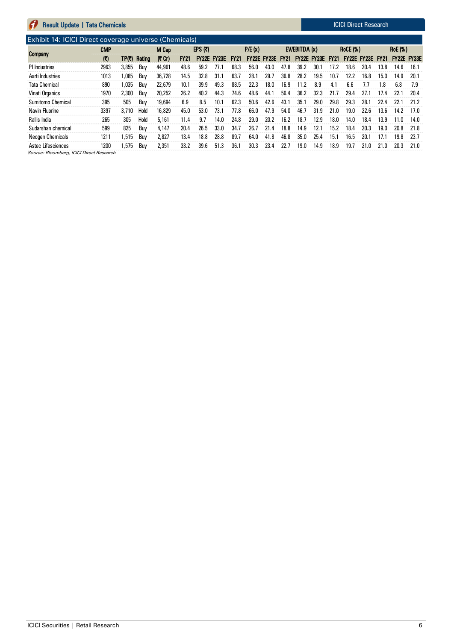# Exhibit 14: ICICI Direct coverage universe (Chemicals)

| <b>Company</b>       | CMP          |       |                     | EPS $(2)$<br>M Cap |             |      | P/E(x)                  |      |      | EV/EBITDA(x)            |      |                         | <b>RoCE (%)</b> |      |      | <b>RoE</b> (%)          |      |             |      |
|----------------------|--------------|-------|---------------------|--------------------|-------------|------|-------------------------|------|------|-------------------------|------|-------------------------|-----------------|------|------|-------------------------|------|-------------|------|
|                      | $\mathbf{C}$ |       | <b>TP(₹) Rating</b> | (7 Cr)             | <b>FY21</b> |      | <b>FY22E FY23E FY21</b> |      |      | <b>FY22E FY23E FY21</b> |      | <b>FY22E FY23E FY21</b> |                 |      |      | <b>FY22E FY23E FY21</b> |      | FY22E FY23E |      |
| PI Industries        | 2963         | 3,855 | Buv                 | 44,961             | 48.6        | 59.2 | 77.1                    | 68.3 | 56.0 | 43.0                    | 47.8 | 39.2                    | 30.1            | 17.2 | 18.6 | 20.4                    | 13.8 | 14.6        | 16.1 |
| Aarti Industries     | 1013         | .085  | Buv                 | 36,728             | 14.5        | 32.8 | 31.1                    | 63.7 | 28.1 | 29.7                    | 36.8 | 28.2                    | 19.5            | 10.7 | 12.2 | 16.8                    | 15.0 | 14.9        | 20.1 |
| <b>Tata Chemical</b> | 890          | ,035  | Buy                 | 22,679             | 10.1        | 39.9 | 49.3                    | 88.5 | 22.3 | 18.0                    | 16.9 | 11.2                    | 8.9             | 4.1  | 6.6  | l.l                     | .8   | 6.8         | 7.9  |
| Vinati Organics      | 1970         | 2,300 | Buv                 | 20,252             | 26.2        | 40.2 | 44.3                    | 74.6 | 48.6 | 44.1                    | 56.4 | 36.2                    | 32.3            | 21.7 | 29.4 | 27.1                    | 17.4 | 22.1        | 20.4 |
| Sumitomo Chemical    | 395          | 505   | Buv                 | 19,694             | 6.9         | 8.5  | 10.1                    | 62.3 | 50.6 | 42.6                    | 43.1 | 35.1                    | 29.0            | 29.8 | 29.3 | 28.1                    | 22.4 | 22.1        | 21 2 |
| Navin Fluorine       | 3397         | 3.710 | Hold                | 16,829             | 45.0        | 53.0 | 73.1                    | 77.8 | 66.0 | 47.9                    | 54.0 | 46.7                    | 31.9            | 21.0 | 19.0 | 22.6                    | 13.6 | 14.2        | 17.0 |
| Rallis India         | 265          | 305   | Hold                | 5.161              | 11.4        | 9.7  | 14.0                    | 24.8 | 29.0 | 20.2                    | 16.2 | 18.7                    | 12.9            | 18.0 | 14.0 | 18.4                    | 13.9 | 11.0        | 14.0 |
| Sudarshan chemical   | 599          | 825   | Buv                 | 4.147              | 20.4        | 26.5 | 33.0                    | 34.7 | 26.7 | 21.4                    | 18.8 | 14.9                    | 12.7            | 15.2 | 18.4 | 20.3                    | 19.0 | 20.8        | 21.8 |
| Neogen Chemicals     | 1211         | .515  | Buv                 | 2.827              | 13.4        | 18.8 | 28.8                    | 89.7 | 64.0 | 41.8                    | 46.8 | 35.0                    | 25.4            | 15.1 | 16.5 | 20.1                    | 17.1 | 19.8        | 23.7 |
| Astec Lifesciences   | 1200         | .575  | Buv                 | 2.351              | 33.2        | 39.6 | 51.3                    | 36.1 | 30.3 | 23.4                    | 22.7 | 19.0                    | 14.9            | 18.9 | 19.7 | 21.0                    | 21.0 | 20.3        | 21.0 |

Source: Bloomberg, ICICI Direct Research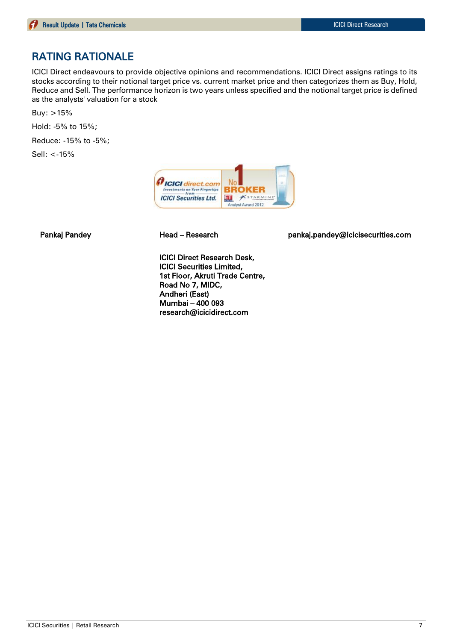# RATING RATIONALE

ICICI Direct endeavours to provide objective opinions and recommendations. ICICI Direct assigns ratings to its stocks according to their notional target price vs. current market price and then categorizes them as Buy, Hold, Reduce and Sell. The performance horizon is two years unless specified and the notional target price is defined as the analysts' valuation for a stock

Buy: >15%

Hold: -5% to 15%;

Reduce: -15% to -5%;

Sell: <-15%



Pankaj Pandey Head – Research pankaj.pandey@icicisecurities.com

ICICI Direct Research Desk, ICICI Securities Limited, 1st Floor, Akruti Trade Centre, Road No 7, MIDC, Andheri (East) Mumbai – 400 093 research@icicidirect.com